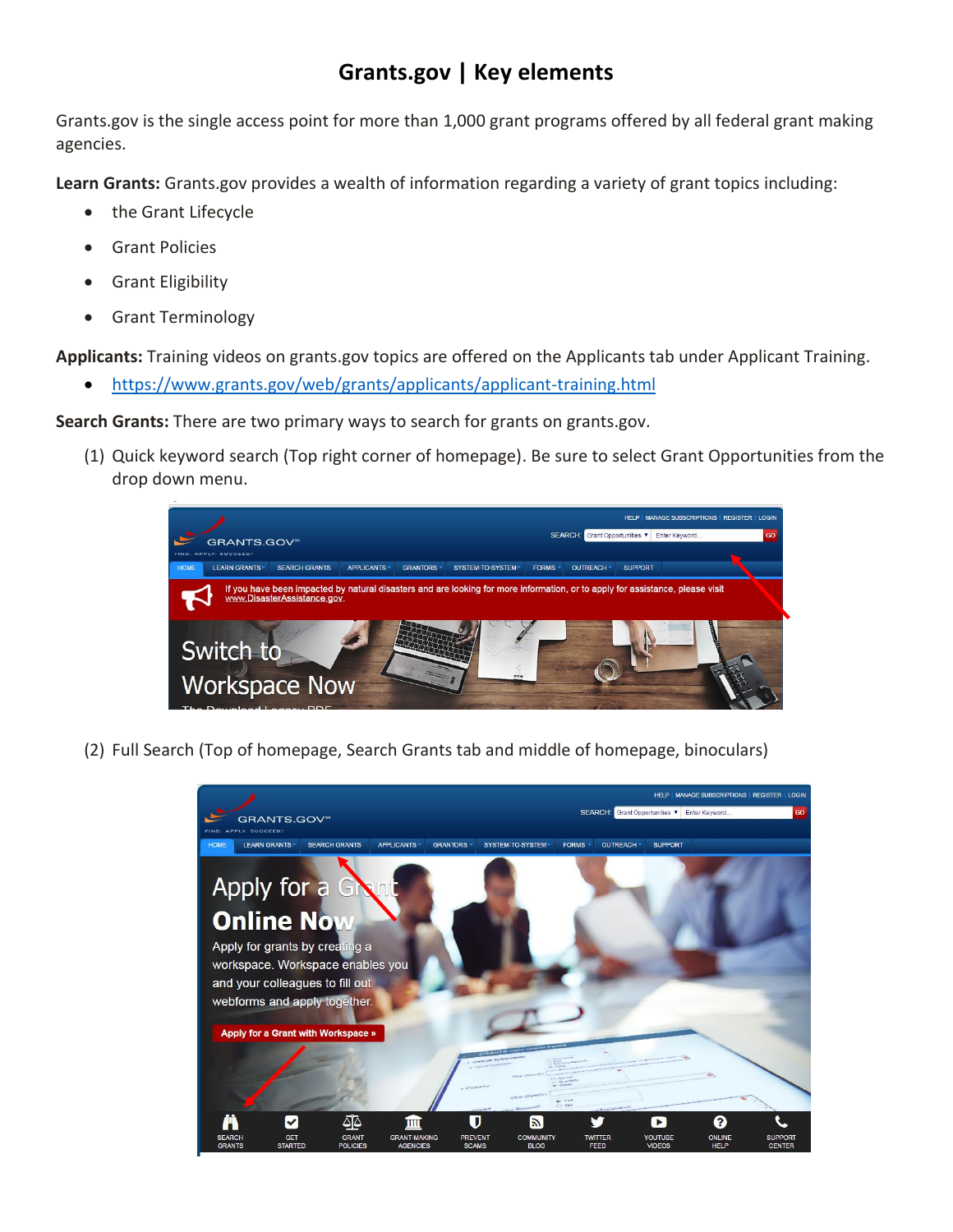## **Grants.gov | Key elements**

Grants.gov is the single access point for more than 1,000 grant programs offered by all federal grant making agencies.

**Learn Grants:** Grants.gov provides a wealth of information regarding a variety of grant topics including:

- the Grant Lifecycle
- Grant Policies
- Grant Eligibility
- Grant Terminology

**Applicants:** Training videos on grants.gov topics are offered on the Applicants tab under Applicant Training.

<https://www.grants.gov/web/grants/applicants/applicant-training.html>

**Search Grants:** There are two primary ways to search for grants on grants.gov.

(1) Quick keyword search (Top right corner of homepage). Be sure to select Grant Opportunities from the drop down menu.



(2) Full Search (Top of homepage, Search Grants tab and middle of homepage, binoculars)

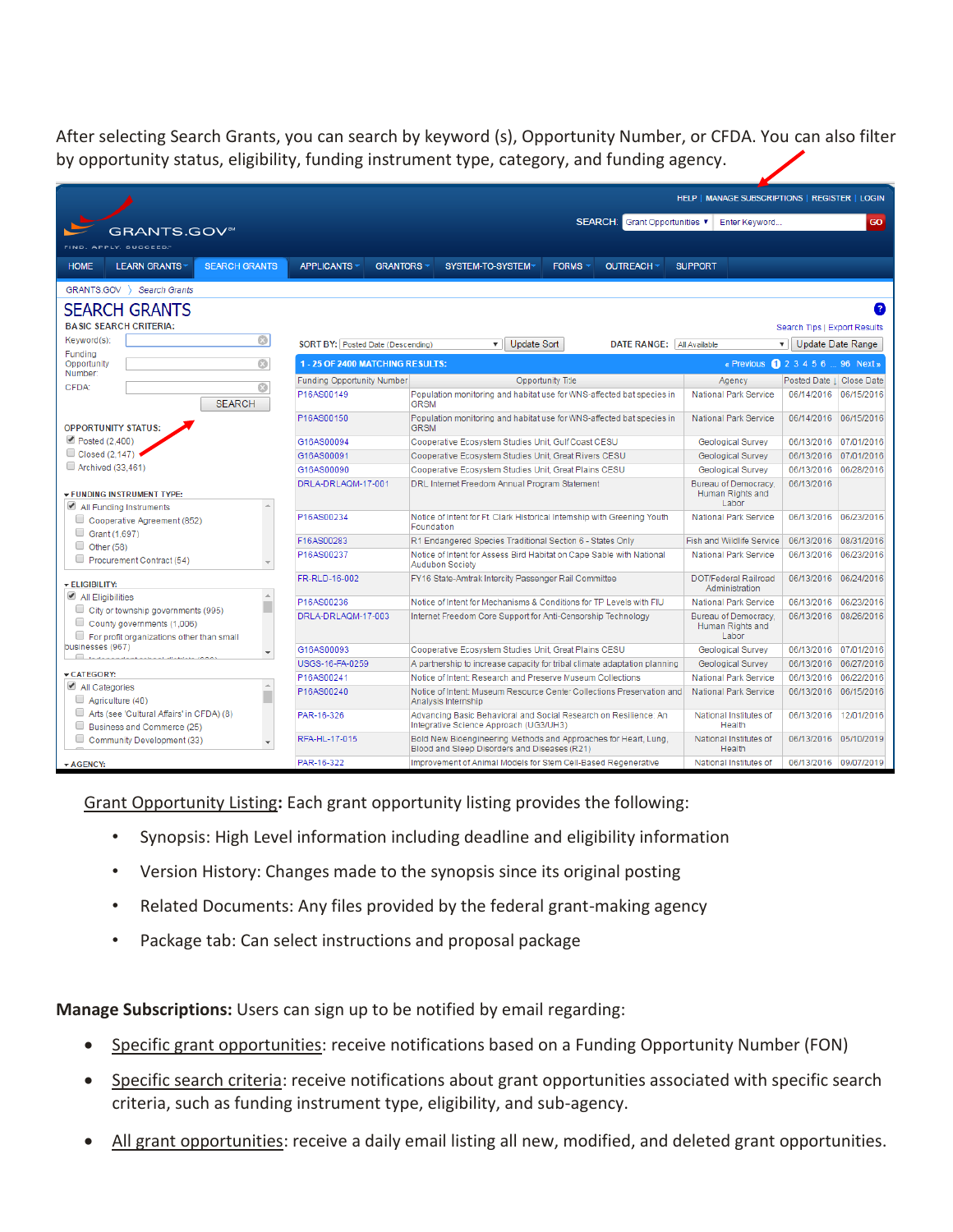After selecting Search Grants, you can search by keyword (s), Opportunity Number, or CFDA. You can also filter by opportunity status, eligibility, funding instrument type, category, and funding agency.

|                                                                                                               | HELP   MANAGE SUBSCRIPTIONS   REGISTER   LOGIN                                                                           |                                                                                                                 |                                  |                                                   |                          |            |
|---------------------------------------------------------------------------------------------------------------|--------------------------------------------------------------------------------------------------------------------------|-----------------------------------------------------------------------------------------------------------------|----------------------------------|---------------------------------------------------|--------------------------|------------|
|                                                                                                               |                                                                                                                          |                                                                                                                 | SEARCH: Grant Opportunities      | Enter Keyword                                     |                          | GO         |
| <b>GRANTS.GOV</b> <sup>34</sup>                                                                               |                                                                                                                          |                                                                                                                 |                                  |                                                   |                          |            |
| FIND. APPLY. SUCCEED."                                                                                        |                                                                                                                          |                                                                                                                 |                                  |                                                   |                          |            |
| <b>HOME</b><br><b>LEARN GRANTS</b><br><b>SEARCH GRANTS</b>                                                    | <b>APPLICANTS</b>                                                                                                        | <b>GRANTORS</b><br>SYSTEM-TO-SYSTEM                                                                             | <b>FORMS</b><br><b>OUTREACH</b>  | <b>SUPPORT</b>                                    |                          |            |
| GRANTS.GOV )<br><b>Search Grants</b>                                                                          |                                                                                                                          |                                                                                                                 |                                  |                                                   |                          |            |
| <b>SEARCH GRANTS</b>                                                                                          |                                                                                                                          |                                                                                                                 |                                  |                                                   |                          |            |
| <b>BASIC SEARCH CRITERIA:</b>                                                                                 |                                                                                                                          |                                                                                                                 |                                  |                                                   |                          |            |
| $\circledcirc$<br>Keyword(s):                                                                                 | <b>Update Sort</b>                                                                                                       |                                                                                                                 |                                  | Search Tips   Export Results                      |                          |            |
| Funding                                                                                                       | SORT BY: Posted Date (Descending)                                                                                        | ▾                                                                                                               | DATE RANGE: All Available        |                                                   | Update Date Range<br>▼Ⅱ  |            |
| $\circledcirc$<br>Opportunity<br>Number:                                                                      | 1 - 25 OF 2400 MATCHING RESULTS:<br>« Previous 1 2 3 4 5 6  96 Next »                                                    |                                                                                                                 |                                  |                                                   |                          |            |
| Ø<br>CFDA:                                                                                                    | Funding Opportunity Number                                                                                               |                                                                                                                 | Opportunity Title                | Agency                                            | Posted Date   Close Date |            |
| <b>SEARCH</b>                                                                                                 | P16AS00149                                                                                                               | Population monitoring and habitat use for WNS-affected bat species in<br><b>GRSM</b>                            |                                  | <b>National Park Service</b>                      | 06/14/2016 06/15/2016    |            |
| <b>OPPORTUNITY STATUS:</b>                                                                                    | P16AS00150                                                                                                               | Population monitoring and habitat use for WNS-affected bat species in<br><b>GRSM</b>                            |                                  | National Park Service                             | 06/14/2016 06/15/2016    |            |
| Posted (2,400)                                                                                                | G16AS00094<br>Cooperative Ecosystem Studies Unit, Gulf Coast CESU                                                        |                                                                                                                 | Geological Survey                | 06/13/2016 07/01/2016                             |                          |            |
| Closed (2.147)                                                                                                | G16AS00091<br>Cooperative Ecosystem Studies Unit, Great Rivers CESU                                                      |                                                                                                                 | Geological Survey                | 06/13/2016 07/01/2016                             |                          |            |
| Archived (33.461)                                                                                             | G16AS00090                                                                                                               | Cooperative Ecosystem Studies Unit, Great Plains CESU                                                           |                                  | Geological Survey                                 | 06/13/2016               | 06/28/2016 |
| <b>FUNDING INSTRUMENT TYPE:</b>                                                                               | DRLA-DRLAOM-17-001                                                                                                       | DRL Internet Freedom Annual Program Statement                                                                   |                                  | Bureau of Democracy.<br>Human Rights and<br>Labor | 06/13/2016               |            |
| All Funding Instruments                                                                                       |                                                                                                                          |                                                                                                                 |                                  |                                                   |                          |            |
| U<br>Cooperative Agreement (852)                                                                              | P16AS00234                                                                                                               | Notice of Intent for Ft. Clark Historical Internship with Greening Youth<br>Foundation                          |                                  |                                                   | 06/13/2016               | 06/23/2016 |
| Grant (1,697)<br>$\Box$ Other (58)                                                                            | F16AS00283<br>R1 Endangered Species Traditional Section 6 - States Only                                                  |                                                                                                                 | <b>Fish and Wildlife Service</b> | 06/13/2016                                        | 08/31/2016               |            |
| Procurement Contract (54)                                                                                     | P16AS00237                                                                                                               | Notice of Intent for Assess Bird Habitat on Cape Sable with National<br>Audubon Society                         |                                  | National Park Service                             | 06/13/2016               | 06/23/2016 |
| <b>ELIGIBILITY:</b>                                                                                           | FR-RLD-16-002                                                                                                            | FY16 State-Amtrak Intercity Passenger Rail Committee                                                            |                                  | DOT/Federal Railroad<br>Administration            | 06/13/2016               | 06/24/2016 |
| All Eligibilities                                                                                             | P16AS00236<br>Notice of Intent for Mechanisms & Conditions for TP Levels with FIU                                        |                                                                                                                 | <b>National Park Service</b>     | 06/13/2016                                        | 06/23/2016               |            |
| City or township governments (995)<br>County governments (1,006)<br>For profit organizations other than small | DRLA-DRLAQM-17-003                                                                                                       | Internet Freedom Core Support for Anti-Censorship Technology                                                    |                                  | Bureau of Democracy.<br>Human Rights and<br>Labor | 06/13/2016               | 08/26/2016 |
| businesses (967)<br>$\overline{\mathbf{v}}$                                                                   | G16AS00093                                                                                                               | Cooperative Ecosystem Studies Unit, Great Plains CESU                                                           |                                  | Geological Survey                                 | 06/13/2016 07/01/2016    |            |
| <b>EL BERTHERLINE AND STREET AND A</b>                                                                        | USGS-16-FA-0259                                                                                                          | A partnership to increase capacity for tribal climate adaptation planning                                       |                                  | Geological Survey                                 | 06/13/2016 06/27/2016    |            |
| CATEGORY:                                                                                                     | P16AS00241                                                                                                               | Notice of Intent: Research and Preserve Museum Collections                                                      |                                  | National Park Service                             | 06/13/2016               | 06/22/2016 |
| All Categories<br>$\Delta$<br>u<br>Agriculture (40)                                                           | P16AS00240                                                                                                               | Notice of Intent: Museum Resource Center Collections Preservation and<br>Analysis Internship                    |                                  | National Park Service                             | 06/13/2016               | 06/15/2016 |
| Arts (see 'Cultural Affairs' in CFDA) (8)<br>Business and Commerce (25)                                       | PAR-16-326<br>Advancing Basic Behavioral and Social Research on Resilience: An<br>Integrative Science Approach (UG3/UH3) |                                                                                                                 | National Institutes of<br>Health | 06/13/2016                                        | 12/01/2016               |            |
| Community Development (33)                                                                                    | RFA-HL-17-015                                                                                                            | Bold New Bioengineering Methods and Approaches for Heart, Lung,<br>Blood and Sleep Disorders and Diseases (R21) |                                  | National Institutes of<br>Health                  | 06/13/2016 05/10/2019    |            |
| $\blacktriangleright$ AGENCY:                                                                                 | PAR-16-322                                                                                                               | Improvement of Animal Models for Stem Cell-Based Regenerative                                                   |                                  | National Institutes of                            | 06/13/2016 09/07/2019    |            |

Grant Opportunity Listing**:** Each grant opportunity listing provides the following:

- Synopsis: High Level information including deadline and eligibility information
- Version History: Changes made to the synopsis since its original posting
- Related Documents: Any files provided by the federal grant-making agency
- Package tab: Can select instructions and proposal package

**Manage Subscriptions:** Users can sign up to be notified by email regarding:

- Specific grant opportunities: receive notifications based on a Funding Opportunity Number (FON)
- Specific search criteria: receive notifications about grant opportunities associated with specific search criteria, such as funding instrument type, eligibility, and sub-agency.
- All grant opportunities: receive a daily email listing all new, modified, and deleted grant opportunities.